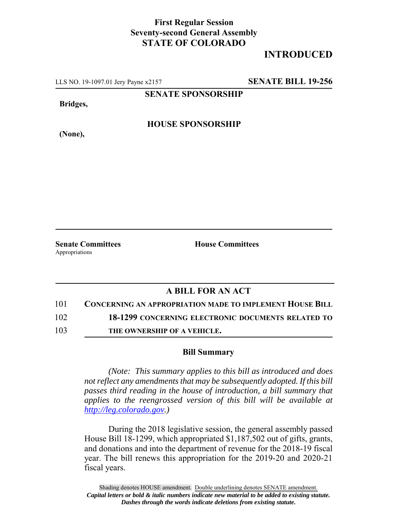## **First Regular Session Seventy-second General Assembly STATE OF COLORADO**

## **INTRODUCED**

LLS NO. 19-1097.01 Jery Payne x2157 **SENATE BILL 19-256**

**SENATE SPONSORSHIP**

**Bridges,**

**HOUSE SPONSORSHIP**

**(None),**

**Senate Committees House Committees** Appropriations

## **A BILL FOR AN ACT**

101 **CONCERNING AN APPROPRIATION MADE TO IMPLEMENT HOUSE BILL**

102 **18-1299 CONCERNING ELECTRONIC DOCUMENTS RELATED TO**

103 **THE OWNERSHIP OF A VEHICLE.**

## **Bill Summary**

*(Note: This summary applies to this bill as introduced and does not reflect any amendments that may be subsequently adopted. If this bill passes third reading in the house of introduction, a bill summary that applies to the reengrossed version of this bill will be available at http://leg.colorado.gov.)*

During the 2018 legislative session, the general assembly passed House Bill 18-1299, which appropriated \$1,187,502 out of gifts, grants, and donations and into the department of revenue for the 2018-19 fiscal year. The bill renews this appropriation for the 2019-20 and 2020-21 fiscal years.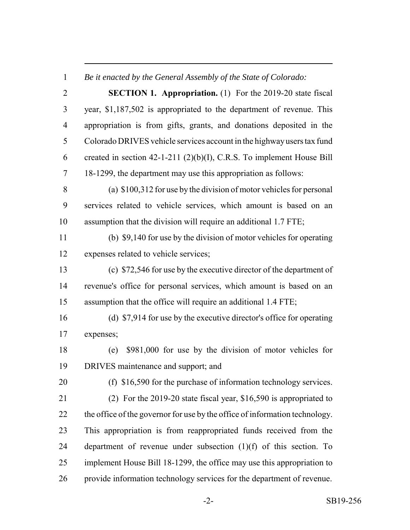*Be it enacted by the General Assembly of the State of Colorado:*

| $\overline{2}$ | <b>SECTION 1. Appropriation.</b> (1) For the 2019-20 state fiscal           |
|----------------|-----------------------------------------------------------------------------|
| 3              | year, \$1,187,502 is appropriated to the department of revenue. This        |
| $\overline{4}$ | appropriation is from gifts, grants, and donations deposited in the         |
| 5              | Colorado DRIVES vehicle services account in the highway users tax fund      |
| 6              | created in section $42-1-211$ (2)(b)(I), C.R.S. To implement House Bill     |
| $\tau$         | 18-1299, the department may use this appropriation as follows:              |
| 8              | (a) $$100,312$ for use by the division of motor vehicles for personal       |
| 9              | services related to vehicle services, which amount is based on an           |
| 10             | assumption that the division will require an additional 1.7 FTE;            |
| 11             | (b) \$9,140 for use by the division of motor vehicles for operating         |
| 12             | expenses related to vehicle services;                                       |
| 13             | (c) \$72,546 for use by the executive director of the department of         |
| 14             | revenue's office for personal services, which amount is based on an         |
| 15             | assumption that the office will require an additional 1.4 FTE;              |
| 16             | (d) \$7,914 for use by the executive director's office for operating        |
| 17             | expenses;                                                                   |
| 18             | \$981,000 for use by the division of motor vehicles for<br>(e)              |
| 19             | DRIVES maintenance and support; and                                         |
| 20             | (f) $$16,590$ for the purchase of information technology services.          |
| 21             | (2) For the 2019-20 state fiscal year, $$16,590$ is appropriated to         |
| 22             | the office of the governor for use by the office of information technology. |
| 23             | This appropriation is from reappropriated funds received from the           |
| 24             | department of revenue under subsection $(1)(f)$ of this section. To         |
| 25             | implement House Bill 18-1299, the office may use this appropriation to      |
| 26             | provide information technology services for the department of revenue.      |

-2- SB19-256